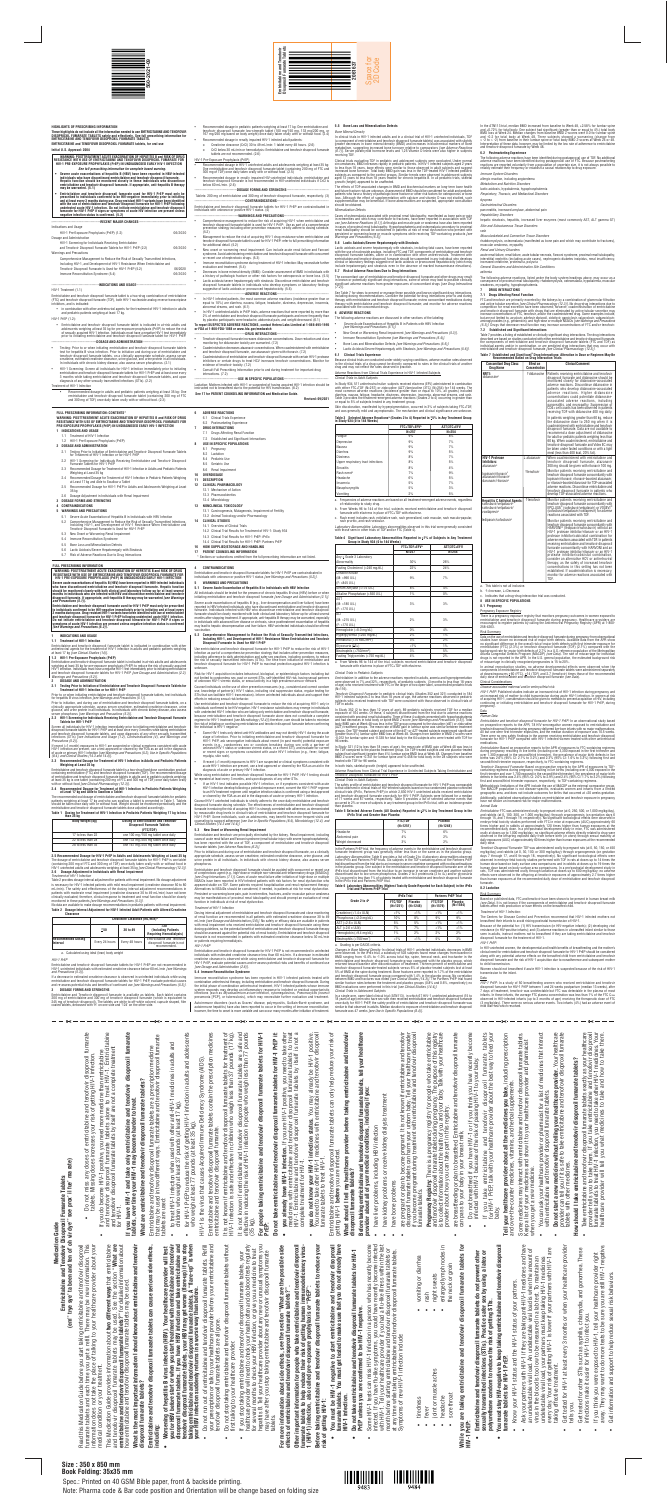#### **HIGHLIGHTS OF PRESCRIBING INFORMATION**

These highlights do not include all the information needed to use EMTRICITABINE AND TENOFOVIR<br>DISOPROXIL FUMARATE TABLETS safely and effectively. See full prescribing information for<br>EMTRICITABINE AND TENOFOVIR DISOPROXIL **EMTRICITABINE and TENOFOVIR DISOPROXIL FUMARATE tablets, for oral use**

**Initial U.S. Approval: 2004**

WARNING: POSTTREATMENT ACUTE EXACERBATION OF HEPATITIS B and RISK OF DRUG<br>RESISTANCE WITH USE OF EMTRICITABINE AND TENOFOVIR DISOPROXIL FUMARATE FOR<br>HIV-1 PRE-EXPOSURE PROPHYLAXIS (PrEP) IN UNDIAGNOSED EARLY HIV-1 INFECTIO

*See full prescribing information for complete boxed warning.*

• Severe acute exacerbations of hepatitis B (HBV) have been reported in HBV-infected<br>individuals who have discontinued emtricitabine and tenofovir disoproxil fumarate.<br>Hepatic function should be monitored closely in these

• Emtricitabine and tenoforvir disoproxil furmarate used for HIV-1 PrEP must only be<br>prescribed to individuals confirmed to be HIV-negative immediately prior to initiating<br>and at least every 3 months during use. Drug-resis

- in combination with other antiretroviral agents for the treatment of HIV-1 infection in adults and pediatric patients weighing at least 17 kg.
- HIV-1 PrEP (1.2):
- Emtricitabine and tenofovir disoproxil fumarate tablet is indicated in at-risk adults and adolescents weighing at least 35 kg for pre-exposure prophylaxis (PrEP) to reduce the risk<br>of sexually acquired HIV-1 infection. Individuals must have a negative HIV-1 test immediately<br>prior to initiating emtricitabine and

#### -DOSAGE AND ADMINISTRATION-

### HIV-1 Treatment (1.1)

Emtricitabine and tenofovir disoproxil fumarate tablet is a two-drug combination of emtricitabine (FTC) and tenofovir disoproxil fumarate (TDF), both HIV-1 nucleoside analog reverse transcriptase inhibitors, and is indicated:

 Tablets: 200 mg of emtricitabine and 300 mg of tenofovir disoproxil fumarate, respectively. (3) ----CONTRAINDICATIONS-

- Testing: Prior to or when initiating emtricitabine and tenofovir disoproxil fumarate tablets test for hepatitis B virus infection. Prior to initiation and during use of emtricitabine and tenofovir disoproxil fumarate tablets, on a clinically appropriate schedule, assess serum<br>creatinine, estimated creatinine clearance, urine glucose, and urine protein in all individuals.<br>In individuals with chronic kidney
- HIV-1 Screening: Screen all individuals for HIV-1 infection immediately prior to initiating emtricitabine and tenofovir disoproxil fumarate tablets for HIV-1 PrEP and at least once every 3 months while taking emtricitabine and tenofovir disoproxil fumarate tablets, and upon diagnosis of any other sexually transmitted infections (STIs). (2.2)

#### Treatment of HIV-1 Infection

 Recommended dosage in adults and pediatric patients weighing at least 35 kg: One emtricitabine and tenofovir disoproxil fumarate tablet (containing 200 mg of FTC and 300 mg of TDF) once daily taken orally with or without food. (2.3)

 Recommended dosage in pediatric patients weighing at least 17 kg: One emtricitabine and tenofovir disoproxil fumarate low-strength tablet (100 mg/150 mg, 133 mg/200 mg, or 167 mg/250 mg based on body weight) once daily taken orally with or without food. (2.4)

- ------DRUG INTERACTIONS---Tenofovir disoproxil fumarate increases didanosine concentrations. Dose reduction and close
- monitoring for didanosine toxicity are warranted. (7.2)
- Coadministration decreases atazanavir concentrations. When coadministered with emtricitabine and tenofovir disoproxil fumarate, use atazanavir given with ritonavir. (7.2)
- Coadministration of emtricitabine and tenofovir disoproxil fumarate with certain HIV-1 protease inhibitors or certain drugs to treat HCV increases tenofovir concentrations. Monitor for evidence of tenofovir toxicity. (7.2) Consult Full Prescribing Information prior to and during treatment for important drug
- interactions. (7.2)
- Recommended dosage in renally impaired HIV-1 infected adult patients:
- o Creatinine clearance (CrCl) 30 to 49 mL/min: 1 tablet every 48 hours. (2.6)
- o CrCl below 30 mL/min or hemodialysis: Emtricitabine and tenofovir disoproxil fumarate tablets are not recommended. (2.6)

---USE IN SPECIFIC POPULATIONS--Lactation: Mothers infected with HIV-1 or suspected of having acquired HIV-1 infection should be instructed not to breastfeed due to the potential for HIV transmission. (8.2)

#### HIV-1 Pre-Exposure Prophylaxis (PrEP)

- Recommended dosage in HIV-1 uninfected adults and adolescents weighing at least 35 kg: One emtricitabine and tenofovir disoproxil fumarate tablet (containing 200 mg of FTC and 300 mg of TDF) once daily taken orally with or without food. (2.5)
- Recommended dosage in renally impaired HIV-uninfected individuals: emtricitabine and tenofovir disoproxil fumarate is not recommended in HIV-uninfected individuals if CrCl is below 60 mL/min. (2.6)

#### ---DOSAGE FORMS AND STRENGTHS-

Emtricitabine and tenofovir disoproxil fumarate tablets for HIV-1 PrEP are contraindicated in individuals with unknown or positive HIV-1 status. (4)

-------------------------------------**WARNINGS AND PRECAUTIONS**--------------------------------------

- Comprehensive management to reduce the risk of acquiring HIV-1 when emtricitabine and tenofovir disoproxil fumarate tablet is used for HIV-1 PrEP: Use as part of a comprehensive prevention strategy including other prevention measures; strictly adhere to dosing schedule.  $(5.2)$
- Management to reduce the risk of acquiring HIV-1 drug resistance when emtricitabine and tenofovir disoproxil fumarate tablet is used for HIV-1 PrEP: refer to full prescribing information for additional detail. (5.2)
- New onset or worsening renal impairment: Can include acute renal failure and Fanconi syndrome. Avoid administering emtricitabine and tenofovir disoproxil fumarate with concurrent or recent use of nephrotoxic drugs. (5.3)
- Immune reconstitution syndrome during treatment of HIV-1 infection: May necessitate further evaluation and treatment. (5.4)
- Decreases in bone mineral density (BMD): Consider assessment of BMD in individuals with a history of pathologic fracture or other risk factors for osteoporosis or bone loss. (5.5)
- Lactic acidosis/severe hepatomegaly with steatosis: Discontinue emtricitabine and tenofovir disoproxil fumarate tablets in individuals who develop symptoms or laboratory findings suggestive of lactic acidosis or pronounced hepatotoxicity. (5.6) -------------------------------------------**ADVERSE REACTIONS**--------------------------------------------

**1.1 Treatment of HIV-1 Infection** Emtricitabine and tenofovir disoproxil fumarate tablet is indicated in combination with other<br>antiretroviral agents for the treatment of HIV-1 infection in adults and pediatric patients weighing<br>at least 17 kg *[see Clinic* 

# In HIV-1 infected patients, the most common adverse reactions (incidence greater than or equal to 10%) are diarrhea, nausea, fatigue, headache, dizziness, depression, insomnia, abnormal dreams, and rash. (6.1)

 In HIV-1 uninfected adults in PrEP trials, adverse reactions that were reported by more than 2% of emtricitabine and tenofovir disoproxil fumarate participants and more frequently than by placebo participants were headache, abdominal pain, and weight decreased. (6.1)

#### **To report SUSPECTED ADVERSE REACTIONS, contact Hetero Labs Limited at 1-866-495-1995 or FDA at 1-800-FDA-1088 or www.fda.gov/medwatch**

The recommended oral dosage of emtricitabine and tenofovir disoproxil fumarate tablets for pediatric<br>patients weighing at least 17 kg and who can swallow a tablet is presented in Table 1. Tablets<br>should be taken once daily **Table 1 Dosing for Treatment of HIV-1 Infection in Pediatric Patients Weighing 17 kg to less**

# **See 17 for PATIENT COUNSELING INFORMATION and Medication Guide.**

## **Revised: 09/2021**

#### **FULL PRESCRIBING INFORMATION: CONTENTS\***

Severe acute exacerbations of hepatitis B (e.g., liver decompensation and liver failure) have been reported in HBV-infected individuals who have discontinued emtricitabine and tenofovir disoproxil fumarate. Individuals infected with HBV who discontinue emtricitabine and tenofovir disoproxil fumarate should be closely monitored with both clinical and laboratory follow-up for at least several

## **WARNING: POSTTREATMENT ACUTE EXACERBATION OF HEPATITIS B and RISK OF DRUG RESISTANCE WITH USE OF EMTRICITABINE AND TENOFOVIR DISOPROXIL FUMARATE FOR PRE-EXPOSURE PROPHYLAXIS (PrEP) IN UNDIAGNOSED EARLY HIV-1 INFECTION**

# vaccination. 5.2 Comprehensive Management to Reduce the Risk of Sexually Transmitted Infections,<br>Including HIV-1, and Development of HIV-1 Resistance When Emtricitabine and Tenofovir<br>Disoproxil Fumarate Is Used for HIV-1 PrEP

months after stopping treatment. If appropriate, anti-hepatitis B therapy may be warranted, especially<br>in individuals with advanced liver disease or cirrhosis, since posttreatment exacerbation of hepatitis<br>may lead to hepa

Counsel individuals on the use of other prevention measures (e.g., consistent and correct condom use, knowledge of partner(s)' HIV-1 status, including viral suppression status, regular testing for<br>STIs that can facilitate HIV-1 transmission). Inform uninfected individuals about and support their<br>efforts in reducing se

- **1 INDICATIONS AND USAGE** 1.1 Treatment of HIV-1 Infection
- 1.2 HIV-1 Pre-Exposure Prophylaxis (PrEP)
- **2 DOSAGE AND ADMINISTRATION**
- 2.1 Testing Prior to Initiation of Emtricitabine and Tenofovir Disoproxil Fumarate Tablets for Treatment of HIV-1 Infection or for HIV-1 PrEP
- 2.2 HIV-1 Screening for Individuals Receiving Emtricitabine and Tenofovir Disoproxil Fumarate Tablets for HIV-1 PrEP
- 2.3 Recommended Dosage for Treatment of HIV-1 Infection in Adults and Pediatric Patients Weighing at Least 35 kg
- 2.4 Recommended Dosage for Treatment of HIV-1 Infection in Pediatric Patients Weighing at Least 17 kg and Able to Swallow a Tablet
- 2.5 Recommended Dosage for HIV-1 PrEP in Adults and Adolescents Weighing at Least 35 kg
- 2.6 Dosage Adjustment in Individuals with Renal Impairment
- **3 DOSAGE FORMS AND STRENGTHS 4 CONTRAINDICATIONS**
- **5 WARNINGS AND PRECAUTIONS**
- 5.1 Severe Acute Exacerbation of Hepatitis B in Individuals with HBV Infection
- 5.2 Comprehensive Management to Reduce the Risk of Sexually Transmitted Infections, Including HIV-1, and Development of HIV-1 Resistance When Emtricitabine and Tenofovir Disoproxil Fumarate Is Used for HIV-1 PrEP
- 5.3 New Onset or Worsening Renal Impairment
- 5.4 Immune Reconstitution Syndrome
- 
- 5.5 Bone Loss and Mineralization Defects
- 5.6 Lactic Acidosis/Severe Hepatomegaly with Steatosis
- 5.7 Risk of Adverse Reactions Due to Drug Interactions
- **6 ADVERSE REACTIONS** 6.1 Clinical Trials Experience
	- 6.2 Postmarketing Experience
	- **7 DRUG INTERACTIONS**
	- 7.1 Drugs Affecting Renal Function
- 7.2 Established and Significant Interactions
- **8 USE IN SPECIFIC POPULATIONS**
- 8.1 Pregnancy
- 8.2 Lactation
- 8.4 Pediatric Use
- 8.5 Geriatric Use
- 8.6 Renal Impairment
- **10 OVERDOSAGE 11 DESCRIPTION**
- **12 CLINICAL PHARMACOLOGY**
- 12.1 Mechanism of Action
- 12.3 Pharmacokinetics
- 12.4 Microbiology **13 NONCLINICAL TOXICOLOGY**
	- 13.1 Carcinogenesis, Mutagenesis, Impairment of Fertility
- 13.2 Animal Toxicology and/or Pharmacology **14 CLINICAL STUDIES**
	- 14.1 Overview of Clinical Trials

14.2 Clinical Trial Results for Treatment of HIV-1: Study 934 14.3 Clinical Trial Results for HIV-1 PrEP: iPrEx

14.4 Clinical Trial Results for HIV-1 PrEP: Partners PrEP

#### **16 HOW SUPPLIED/STORAGE AND HANDLING**

**17 PATIENT COUNSELING INFORMATION** \* Sections or subsections omitted from the full prescribing information are not listed.

#### **FULL PRESCRIBING INFORMATION**

WARNING: POSTTREATMENT ACUTE EXACERBATION OF HEPATITIS B and RISK OF DRUG<br>Resistance With Use of Emtricitabine and tenofovir disoproxil fumarate for<br>HIV-1 PRE-EXPOSURE PROPHYLAXIS (Prep) IN UNDIAGNOSED EARLY HIV-1 INFECTIO

Severe acute exacerbations of hepatitis B (HBV) have been reported in HBV-infected individuals<br>who have discontinued emtricitabine and tendotori disoproxil fumarate. Hepatic function<br>should be monitored closely with both c

Emtricitabine and tenofovir disoproxil furmarate used for HIV-1 PrEP must only be prescribed<br>to individuals confirmed to be HIV-negative immediately prior to initiating and at least every<br>3 months during use. Drug-resistan

Emtricitabine and tenofovir disoproxil fumarate for HIV-1 PrEP is not recommended in uninfected individuals with estimated creatinine clearance less than 60 mL/min. If a decrease in estimated<br>creatinine clearance is observed while using emtricitabine and tenofovir disoproxil fumarate for<br>HIV-1 PrEP, evaluate potentia

#### **1 INDICATIONS AND USAGE**

**1.2 HIV-1 Pre-Exposure Prophylaxis (PrEP)**

Emtricitabine and tenofovir disoproxil fumarate tablet is indicated in at-risk adults and adolescents<br>weighing at least 35 kg for pre-exposure prophylaxis (PrEP) to reduce the risk of sexually acquired<br>HIV-1 infection. Ind

Clinical trials evaluating TDF in pediatric and adolescent subjects were conducted. Under normal<br>circumstances, BMD increases rapidly in pediatric patients. In HIV-1 infected subjects aged 2 years<br>to less than 18 years, bo growth (height) appeared to be unaffected.

#### **2 DOSAGE AND ADMINISTRATION**

**2.1 Testing Prior to Initiation of Emtricitabine and Tenofovir Disoproxil Fumarate Tablets for Treatment of HIV-1 Infection or for HIV-1 PrEP**

Prior to or when initiating emtricitabine and tenofovir disoproxil fumarate tablets, test individuals<br>for hepatitis B virus infection *[see Warnings and Precautions (5.1)].* 

Prior to initiation, and during use of emtricitabine and tenofovir disoproxil fumarate tablets, on a<br>clinically appropriate schedule, assess serum creatinine, estimated creatinine clearance, urine<br>glucose, and urine protei

The effects of TDF-associated changes in BMD and biochemical markers on long-term bone health<br>and future fracture risk are unknown. Assessment of BMD should be considered for adult and pediatric<br>patients who have a history should be obtained.

Cases of osteomalacia associated with proximal renal tubulopathy, manifested as bone pain or pain<br>in externities and which may contribute to fractures, have been reported in association with TDF<br>use *[see Adverse Reactions Warnings and Precautions (5.3)].*

#### **2.2 HIV-1 Screening for Individuals Receiving Emtricitabine and Tenofovir Disoproxil Fumarate Tablets for HIV-1 PrEP**

Screen all individuals for HIV-1 infection immediately prior to initiating emtricitabine and tenofovir<br>disoproxil fumarate tablets for HIV-1 PrEP and at least once every 3 months while taking emtricitabine<br>and tenofovir di

If recent (<1 month) exposures to HIV-1 are suspected or clinical symptoms consistent with acute<br>HIV-1 infection are present, use a test approved or cleared by the FDA as an aid in the diagnosis<br>of acute or primary HIV-1 i

See Table 7 for steps to prevent or manage these possible and known significant drug interactions,<br>including dosing recommendations. Consider the potential for drug interactions prior to and during<br>therapy with emtricitabi associated with the concomitant drugs.

Because clinical trials are conducted under widely varying conditions, adverse reaction rates observed<br>in the clinical trials of a drug cannot be directly compared to rates in the clinical trials of another<br>drug and may no

In Study 934, 511 antiretroviral-naïve subjects received efavirenz (EFV) administered in combination<br>with either FTC+TDF (N=257) or zidovudine (AZT)/Jamivudine (3TC) (N=254) for 144 weeks. The<br>most common adverse reactions

#### **2.3 Recommended Dosage for Treatment of HIV-1 Infection in Adults and Pediatric Patients Weighing at Least 35 kg**

Emtricitabine and tenofovir disoproxil fumarate tablet is a two-drug fixed dose combination product<br>containing emtricitabine (FTC) and tenofovir disoproxil fumarate (TDF). The recommended dosage<br>of emtricitabine and tenofo

# **2.4 Recommended Dosage for Treatment of HIV-1 Infection in Pediatric Patients Weighing at Least 17 kg and Able to Swallow a Tablet**

In the Partners PrEP trial, the frequency of adverse events in the emtricitabine and tenofovir disoproxil fumarate treatment group was generally either less than or the same as in the placebo group. Laboratory Abnormalities: Table 6 provides a list of Grade 2 to 4 laboratory abnormalities observed<br>in the iPrEx and Partners PrEP trials. Six subjects in the TDF-containing arms of the Partners PrEP<br>trial discontinued fro

| than 35 kg       |                                                                                    |
|------------------|------------------------------------------------------------------------------------|
| Body Weight (kg) | <b>Dosing of Emtricitabine and Tenofovir</b><br><b>Disoproxil Fumarate Tablets</b> |
|                  | (FTC/TDF)                                                                          |

| 17 to less than 22 | one 100 mg /150 mg tablet once daily |
|--------------------|--------------------------------------|
| 22 to less than 28 | one 133 mg /200 mg tablet once daily |
| 28 to less than 35 | one 167 mg /250 mg tablet once daily |

#### **4 CONTRAINDICATIONS**

Emtricitabine and tenofovir disoproxil fumarate tablets for HIV-1 PrEP are contraindicated in individuals with unknown or positive HIV-1 status *[see Warnings and Precautions (5.2)]*. **5 WARNINGS AND PRECAUTIONS**

**5.1 Severe Acute Exacerbation of Hepatitis B in Individuals with HBV Infection**

a. Grading is per DAIDS criteria.<br>Changes in Bone Mineral Density: In clinical trials of HIV-1 uninfected individuals, decreases in BMD<br>overe observed. In the iPrEx trial, a substudy of 503 subjects found mean changes from similar fracture rates between the treatment and placebo groups (0.8% and 0.6%, respectively); no BMD evaluations were performed in this trial *[see Clinical Studies (14.4)].*

All individuals should be tested for the presence of chronic hepatitis B virus (HBV) before or when initiating emtricitabine and tenofovir disoproxil fumarate *[see Dosage and Administration (2.1)].*

Patients receiving emtricitabine and tenofovi disoproxil fumarate and didanosine should be monitored closely for didanosine-associated adverse reactions. Discontinue didanosine in patients who develop didanosine-associated adverse reactions. Higher didanosine concentrations could potentiate didanosine-associated adverse reactions, including pancreatitis, and neuropathy. Suppression of CD4+ cell counts has been observed in patients receiving TDF with didanosine 400 mg daily. In patients weighing greater than 60 kg, reduce the didanosine dose to 250 mg when it is coadministered with emtricitabine and tenofovir disoproxil fumarate. Data are not available to recommend a dose adjustment of didanosine for adult or pediatric patients weighing less than 60 kg. When coadministered, emtricitabine and tenofovir disoproxil fumarate and Videx EC may be taken under fasted conditions or with a light meal (less than 400 kcal, 20% fat).

Use emtricitabine and tenofovir disoproxil fumarate for HIV-1 PrEP to reduce the risk of HIV-1 infection as part of a comprehensive prevention strategy that includes other prevention measures, including adherence to daily administration and safer sex practices, including condoms, to reduce the risk of sexually transmitted infections (STIs). The time from initiation of emtricitabine and tenofovir disoproxil fumarate for HIV-1 PrEP to maximal protection against HIV-1 infection is unknown.

**NRTI:** didanosine

> **HIV-1 Protease Inhibitors:** atazanavir lopinavir/ritonavir<sup>c</sup> atazanavir/ritonavir http://www.chittar.com<br>darunavir/ritonavi

**Hepatitis C Antiviral Agent** osbuvir/velpatasvi ofosbuvir/velpatasvir/ oxilaprevir<sup>c</sup> ledipasvir/sofosbuvir

Risk for HIV-1 acquisition includes behavioral, biological, or epidemiologic factors including but not limited to condomless sex, past or current STIs, self-identified HIV risk, having sexual partners of unknown HIV-1 viremic status, or sexual activity in a high prevalence area or network.

Use emtricitabine and tenofovir disoproxil fumarate to reduce the risk of acquiring HIV-1 only in individuals confirmed to be HIV-negative. HIV-1 resistance substitutions may emerge in individuals<br>with undetected HIV-1 infection who are taking only emtricitabine and tennfovir disoproxil fumarate,<br>because emtricitabine the individual is HIV-1 negative.

Table 7 provides a listing of established or clinically significant drug interactions. The drug interactions described are based on studies conducted with either emtricitabine and tenofovir disoproxil fumarate,<br>the components of emtricitabine and tenofovir disoproxil fumarate tablets (FTC and TDF) as<br>individual agents and/or in c

 Some HIV-1 tests only detect anti-HIV antibodies and may not identify HIV-1 during the acute stage of infection. Prior to initiating emtricitabine and tenofovir disoproxil fumarate for<br>HIV-1 PrEP, ask seronegative individuals about recent (in past month) potential exposure<br>events (e.g., condomless sex or condom br or recent signs or symptoms consistent with acute HIV-1 infection (e.g., fever, fatigue, myalgia, skin rash).

 If recent (<1 month) exposures to HIV-1 are suspected or clinical symptoms consistent with acute HIV-1 infection are present, use a test approved or cleared by the FDA as an aid in the diagnosis of acute or primary HIV-1 infection.

While using emtricitabine and tenofovir disoproxil fumarate for HIV-1 PrEP, HIV-1 testing should be repeated at least every 3 months, and upon diagnosis of any other STIs.

• If an HIV-1 test indicates possible HIV-1 infection, or if symptoms consistent with acute<br>HIV-1 infection develop following a potential exposure event, convert the HIV-1 PrEP regimen<br>to an HIV treatment regimen until neg

Counsel HIV-1 uninfected individuals to strictly adhere to the once daily emtricitabine and tenofovir disoproxil fumarate dosing schedule. The effectiveness of emtricitabine and tenofovir disoproxil fumarate in reducing the risk of acquiring HIV-1 is strongly correlated with adherence, as demonstrated<br>by measurable drug levels in clinical trials of emtricitabine and tenofovir disoproxil fumarate for<br>HIV-1 PrEP. Some i *Clinical Studies (14.3 and 14.4)].*

#### **5.3 New Onset or Worsening Renal Impairment**

Emtricitabine and tenofovir are principally eliminated by the kidney. Renal impairment, including<br>cases of acute renal failure and Fanconi syndrome (renal tubular injury with severe hypophosphatemia),<br>has been reported wit

Prior to initiation and during use of emtricitabine and tenofovir disoproxil fumarate, on a clinically appropriate schedule, assess serum creatinine, estimated creatinine clearance, urine glucose, and urine protein in all individuals. In individuals with chronic kidney disease, also assess serum phosphorus.

Methodologic limitations of the APR include the use of MACDP as the external comparator group.<br>The MACDP population is not disease-specific, evaluates women and infants from a limited<br>geographic area, and does not include Additionally, published observational studies on emtricitabine and tenofovir exposure in pregnancy

Emtricitabine and tenofovir disoproxil fumarate should be avoided with concurrent or recent use of a nephrotoxic agent (e.g., high-dose or multiple non-steroidal anti-inflammatory drugs [NSAIDs]) *[see Drug Interactions (7.1)]*. Cases of acute renal failure after initiation of high-dose or multiple NSAIDs have been reported in HIV-infected patients with risk factors for renal dysfunction who<br>appeared stable on TDF. Some patients required hospitalization and renal replacement therapy.<br>Alternatives to NSAIDs should be Persistent or worsening bone pain, pain in extremities, fractures, and/or muscular pain or weakness may be manifestations of proximal renal tubulopathy and should prompt an evaluation of renal function in individuals at risk of renal dysfunction.

#### *Treatment of HIV-1 Infection*

Dosing interval adjustment of emtricitabine and tenofovir disoproxil fumarate and close monitoring<br>of renal function are recommended in all patients with estimated creatinine clearance 30 to 49<br>mL/min *[see Dosage and Admi* with renal impairment who received emtricitabine and tenofovir disoproxil fumarate using these dosing guidelines, so the potential benefit of emtricitabine and tenofovir disoproxil fumarate therapy<br>should be assessed against the potential risk of renal toxicity. Emtricitabine and tenofovir disoproxil<br>fumarate is not

#### *HIV-1 PrEP*

#### **5.4 Immune Reconstitution Syndrome**

Immune reconstitution syndrome has been reported in HIV-1 infected patients treated with combination antiretroviral therapy, including emtricitabine and tenofovir disoproxil fumarate. During<br>the initial phase of combination antiretroviral treatment, HIV-1 infected patients whose immune<br>system responds may deve pneumonia [PCP], or tuberculosis), which may necessitate further evaluation and treatment.

Autoimmune disorders (such as Graves' disease, polymyositis, Guillain-Barré syndrome, and<br>autoimmune hepatitis) have also been reported to occur in the setting of immune reconstitution;<br>however, the time to onset is more v

#### **5.5 Bone Loss and Mineralization Defects** *Bone Mineral Density*

In clinical trials in HIV-1 intected adults and in a clinical trial of HIV-1 unintected individuals, TDF<br>(a component of emtricitabine and tenofovir disoproxil furnante tablets) was associated with slightly<br>greater decreas

#### *Mineralization Defects*

#### **5.6 Lactic Acidosis/Severe Hepatomegaly with Steatosis**

Lactic acidosis and severe hepatomegaly with steatosis, including tatal cases, have been reported using the use of nucleoside analogs, including FTC and TDF, components of emtricitabine and tenofovir<br>disoproxil fumarate ta

#### **5.7 Risk of Adverse Reactions Due to Drug Interactions**

The concomitant use of emtricitabine and tenofovir disoproxil fumarate and other drugs may result<br>in known or potentially significant drug interactions, some of which may lead to possible clinically<br>significant adverse rea

### **6 ADVERSE REACTIONS**

- The following adverse reactions are discussed in other sections of the labeling: Severe Acute Exacerbations of Hepatitis B in Patients with HBV Infection
- *[see Warnings and Precautions (5.1)].* New Onset or Worsening Renal Impairment *[see Warnings and Precautions (5.3)].*

 Immune Reconstitution Syndrome *[see Warnings and Precautions (5.4)].* Bone Loss and Mineralization Defects *[see Warnings and Precautions (5.5)].* Lactic Acidosis/Severe Hepatomegaly with Steatosis *[see Warnings and Precautions (5.6)].*

**6.1 Clinical Trials Experience**

Fatigue 8% 8% Depression 9% 7% Nausea 7% 9% 7% Diarrhea 9% 5% Dizziness 7% 8% 7% Upper respiratory tract infections  $8\%$  8% 15% Sinusitis 8% 4% Rash event<sup>c</sup> 7% 9% Headache 6% 5% Insomnia 5% 7% Nasopharyngitis  $\begin{vmatrix} 1 & 3 \end{vmatrix}$ Vomiting 2% 5%

Adverse Reactions from Clinical Trials Experience in HIV-1 Infected Subjects

*Clinical Trials in Adult Subjects*

*Clinical Trials in Pediatric Subjects Emtricitabine:* In addition to the adverse reactions reported in adults, anemia and hyperpigmentation<br>were observed in 7% and 32%, respectively, of pediatric subjects (3 months to less than 18 years<br>of age) who received t

*Tenofovir Disoproxil Fumarate:* In pediatric clinical trials (Studies 352 and 321) conducted in 184 HIV-1 infected subjects 2 to less than 18 years of age, the adverse reactions observed in pediatric subjects who received treatment with TDF were consistent with those observed in clinical trials of subjects who<br>TDF in adults.

Skin discoloration, manifested by hyperpigmentation, occurred in 3% of subjects taking FTC+TDF, and was generally mild and asymptomatic. The mechanism and clinical significance are unknown.

Table 3 Selected Adverse Reactionsª (Grades 2 to 4) Reported in ≥5% in Any Treatment Group<br>in Study 934 (0 to 144 Weeks)

**FTC+TDF+EFV<sup>b</sup><br>N=257 AZT/3TC+EFV**<br>N=254

In Study 352 (2 to less than 12 years of age), 89 pediatric subjects received TDF for a median<br>exposure of 104 weeks. Of these, 4 subjects discontinued from the trial due to adverse reactions<br>consistent with proximal rena 96 weeks.

|                                       |                | Creatinine Clearance (mL/min) <sup>a</sup> |                                                                           |  |  |  |
|---------------------------------------|----------------|--------------------------------------------|---------------------------------------------------------------------------|--|--|--|
|                                       | $\geq 50$      | 30 to 49                                   | -30<br>(Including Patients<br><b>Requiring Hemodialysis)</b>              |  |  |  |
| <b>Recommended Dosing</b><br>Interval | Every 24 hours | Every 48 hours                             | Emtricitabine and Tenofovir<br>disoproxil fumarate is not<br>recommended. |  |  |  |

In Study 321 (12 to less than 18 years of age), the mean rate of BMD gain at Week 48 was less in the TDF compared to the placebo treatment group. Six TDF-treated subjects and one placebo-treated<br>subject had significant (greater than 4%) lumbar spine BMD loss at Week 48. Changes from baseline<br>BMD Z-scores were -0.341 f treated with TDF for 96 weeks.

a. Calculated using ideal (lean) body weight

| <b>FTC/TDF</b> | Placebo    |  |
|----------------|------------|--|
| $(N=1251)$     | $(N=1248)$ |  |
| 7%             | 6%         |  |
| 4%             | 2%         |  |
| 3%             | 2%         |  |
|                |            |  |

The safety profile of emtricitabine and tenofovir disoproxil fumarate for HIV-1 PrEP was comparable<br>to that observed in clinical trials of HIV-infected subjects based on two randomized placebo-controlled<br>clinical trials (i than placebo.

#### -RECENT MAJOR CHANGES-Indications and Usage HIV-1 Pre-Exposure Prophylaxis (PrEP) (1.2) 06/2020

Including HIV-1, and Development of HIV-1 Resistance When Emtricitabine and Tenofovir Disoproxil Fumarate Is Used for HIV-1 PrEP (5.2) 06/2020 Immune Reconstitution Syndrome (5.4) 06/2020

#### --INDICATIONS AND USAGE---

**Disoproxil Fumarate Tablets Emtricitabine and Tenofovir** Space for 2D Code **2061637** and

Read this Medication Guide before y<br>fumarate tablets and each time you<br>information does not take the place<br>medical condition or your treatment. **Size : 350 x 850 mm** *Clinical Trials in Adolescent Subjects*

In a single-arm, open-label clinical trial (ATN113), in which 67 HIV-1 uninfected adolescent (15 to<br>18 years of age) men who have sex with men received emtricitabine and tenofovir disoproxil fumarate<br>once daily for HIV-1 P

When coadministered with emtricitabine and tenofovir disoproxil fumarate, atazanavir 300 mg should be given with ritonavir 100 mg. Monitor patients receiving emtricitabine and tenofovir disoproxil fumarate concomitantly with lopinavir/ritonavir, ritonavir-boosted atazanavir, or ritonavir-boosted darunavir for TDF-associated adverse reactions. Discontinue emtricitabine and tenofovir disoproxil fumarate in patients who develop TDF-associated adverse reactions. Monitor patients receiving emtricitabine and tenofovir disoproxil fumarate concomitantly with<br>EPCLUSA® (sofosbuvir/velpatasvir) or VOSEVI®<br>(sofosbuvir/velpatasvir/voxilaprevir) for adverse<br>reactions associated with TDF. Monitor patients receiving emtricitabine and



**Concomitant Drug Class: Effect on Clinical Comment Drug Name Concentration**

In the ATM113 trial, median BMD increased from baseline to Week 48, +2.58% for lumbar spine<br>and +0.72% for total body. One subject had significant (greater than or equal to 4%) total body<br>BMD loss at Week 24. Median chang

The following adverse reactions have been identified during postapproval use of TDF. No additional<br>adverse reactions have been identified during postapproval use of FTC. Because postmarketing<br>reactions are reported volunta

hdidanosine

atazanavi

htenofovir

**1enofovir** 

**6.2 Postmarketing Experience**

*Immune System Disorders* allergic reaction, including angioedema *Metabolism and Nutrition Disorders* lactic acidosis, hypokalemia, hypophosphatemia *Respiratory, Thoracic, and Mediastinal Disorders*

dyspnea

*Gastrointestinal Disorders*

pancreatitis, increased amylase, abdominal pain

*Hepatobiliary Disorders*

hepatic steatosis, hepatitis, increased liver enzymes (most commonly AST, ALT gamma GT)

*Skin and Subcutaneous Tissue Disorders*

rash

*Musculoskeletal and Connective Tissue Disorders*

rhabdomyolysis, osteomalacia (manifested as bone pain and which may contribute to fractures), muscular weakness, myopathy

acute renal failure, renal failure, acute tubular necrosis, Fanconi syndrome, proximal renal tubulopathy,<br>interstitial nephritis (including acute cases), nephrogenic diabetes insipidus, renal insufficiency,<br>increased creat

The following adverse reactions, listed under the body system headings above, may occur as a<br>consequence of proximal renal tubulopathy: rhabdomyolysis, osteomalacia, hypokalemia, muscular<br>weakness, myopathy, hypophosphatem

FIC and tenotovir are primarily excreted by the kidneys by a combination of glomerular filtration<br>and active tubular secretion *[see Clinical Pharmacology (12.3)]*. No drug-drug interactions due to<br>competition for renal e

*Renal and Urinary Disorders*

*General Disorders and Administration Site Conditions*

asthenia

**7 DRUG INTERACTIONS 7.1 Drugs Affecting Renal Function**

**Table 6 Laboratory Abnormalities (Highest Toxicity Grade Reported for Each Subject) in the iPrEx Trial and Partners PrEP Trial** fumarate. **8.2 Lactation**

**7.2 Established and Significant Interactions**

**Table 7 Established and Significant<sup>a</sup> Drug Interactions: Alteration in Dose or Regimen May Be Recommended Based on Drug Interaction Trials**

a. This table is not all inclusive.

b.  $\uparrow$ =Increase, ↓=Decrease.

c. Indicates that a drug-drug interaction trial was conducted.

### **8 USE IN SPECIFIC POPULATIONS**

#### **8.1 Pregnancy** Pregnancy Exposure Registry

There is a pregnancy exposure registry that monitors pregnancy outcomes in women exposed to<br>emtricitabine and tenofovir disoproxil fumarate during pregnancy. Healthcare providers are<br>encouraged to register patients by call

#### Risk Summary

#### Clinical Considerations *Disease-associated maternal and/or embryo/fetal risk*

| Medication Guide<br>abine and Tenofovir Disoproxil<br>ta been and ten of' oh vir dye''<br>Emtric<br>(em" trye sye                                                                                                                                                                                                                                                                                                                                                                                                                                                                        | rate)<br>ā<br>il fue' ma<br>Tablets<br>Fumarate<br>soe prox'                                                                                                                                                                                                                                                                                                                                                                                                                                              |
|------------------------------------------------------------------------------------------------------------------------------------------------------------------------------------------------------------------------------------------------------------------------------------------------------------------------------------------------------------------------------------------------------------------------------------------------------------------------------------------------------------------------------------------------------------------------------------------|-----------------------------------------------------------------------------------------------------------------------------------------------------------------------------------------------------------------------------------------------------------------------------------------------------------------------------------------------------------------------------------------------------------------------------------------------------------------------------------------------------------|
| Read this Medication Guide before you start taking emtricitabine and tenofovir disoproxil<br>fumarate tablets and each time you get a refill. There may be new information. This<br>provider about your<br>fumarate tablets and each time you get a refill. There may be ne<br>information does not take the place of talking to your healthcare<br>medical condition or your treatment.                                                                                                                                                                                                 | fumarate<br>Do not miss any doses of emtricitabine and tenofovir disoproxil t<br>tablets. Missing doses increases your risk of getting HIV-1 infection.                                                                                                                                                                                                                                                                                                                                                   |
| This Medication Guide provides information about two different ways that emtricitabine<br>and tenofovir disoproxil fumarate tablets may be used. See the section "What are<br>emtricitabine and tenofovir disoproxil fumarate tablet                                                                                                                                                                                                                                                                                                                                                     | id<br>If you do become HIV-1 positive, you need more medicine than emtricitabine<br>and tenofovir disoproxil fumarate tablets alone to treat HIV-1. Emtricita<br>and tenofovir disoproxil fumarate tablets by itself are not a complete tr                                                                                                                                                                                                                                                                |
| What is the most important information I should know about emtricitabine and tenofovir<br>disoproxil fumarate tablets?                                                                                                                                                                                                                                                                                                                                                                                                                                                                   | e<br>you have HIV-1 and take only emtricitabine and tenofovir disoproxil fumarat<br>blets, over time your HIV-1 may become harder to treat.<br>What are emtricitabine and tenofovir disoproxil fumarate tablets?<br>$\Xi \equiv$                                                                                                                                                                                                                                                                          |
| serious side effects<br>Emtricitabine and tenofovir disoproxil fumarate tablets can cause<br>including:                                                                                                                                                                                                                                                                                                                                                                                                                                                                                  | ate<br>Emtricitabine and tenofovir disoproxil fumarate tablets are a prescription medicine<br>that may be used in two different ways. Emtricitabine and tenofovir disoproxil fumar<br>tablets are used:                                                                                                                                                                                                                                                                                                   |
| Worsening of hepatitis B virus infection (HBV). Your healthcare provider will test<br>you for HBV before start or when you start treatment with emtricitabine and tenofovir<br>disoproxil fumarate tablets. If you have HBV infectio                                                                                                                                                                                                                                                                                                                                                     | rts<br>$\mathbf{D}$<br>ت<br>and<br>adoles<br>to treat HIV-1 infection when used with other anti-HIV-1 medicines in adults<br>children who weigh at least 37 pounds (at least 17 kg).<br>for HIV-1 PrEP to reduce the risk of getting HIV-1 infection in adults and<br>who weigh at least 77 pounds (at least 35 kg).<br>$\bullet$                                                                                                                                                                         |
| Do not run out of emtricitabine and tenofovir disoproxil fumarate tablets. Refill<br>narate tablets without<br>your prescription or talk to your healthcare provider before your emtricitabine and<br>Do not stop taking emtricitabine and tenofovir disoproxil fur<br>tenofovir disoproxil fumarate tablets are all gone.<br>$\bullet$                                                                                                                                                                                                                                                  | Emtricitabine and tenofovir disoproxil fumarate tablets contain the prescription medicine<br>emtricitabine and tenofovir disoproxil fumarate.<br>HIV-1 is the virus that causes Acquired Immune Deficiency Syndrome (AIDS)                                                                                                                                                                                                                                                                                |
| nusual symptoms you<br>If you stop taking emtricitabine and tenofovir disoproxil fumarate tablets, your<br>healthcare provider will need to check your health often and do blood tests regularly<br>for several months to check your HBV infection, or give<br>disoproxil fumarate<br>healthcare provider will need to check your health often and dt<br>for several months to check your HBV infection, or give you<br>hepatitis B. Tell your healthcare provider about any new or un<br>may have after you stop taking emtr<br>first talking to your healthcare provider.<br>$\bullet$ | It is not known if emtricitabine and tenofovir disoproxil fumarate tablets are safe and<br>effective in reducing the risk of HIV-1 infection in people who weigh less than 77 pounds<br>nt of<br>kg).<br>For people taking emtricitabine and tenofovir disoproxil fumarate tablets for HIV-1<br>PrEP:<br>It is not known if emtricitabine and tenofovir disoproxil fumarate tablets for treatment<br>HIV-1 infection is safe and effective in children who weigh less than 37 pounds (17 kg<br>$(35$ kg). |
| For more information about side effects, see the section "What are the possible side<br>effects of emtricitabine and tenofovir disoproxil fumarate tablets?".                                                                                                                                                                                                                                                                                                                                                                                                                            | <b>you already have HIV-1 infection.</b> If you are HIV-1 positive, you need to take other<br>medicines with emtricitabine and tenofovir disoproxil fumarate tablets to treat<br>HIV-1. Emtricitabine and tenofovir disoproxil fumarate t<br>Do not take emtricitabine and tenofovir disoproxil fumarate tablets for HIV-1 PrEP if:<br>$\bullet$                                                                                                                                                          |
| Other important information for people who take emtricitabine and tenofovir disoproxil<br>fumarate tablets to help reduce their risk of getting human immunodeficiency virus-<br>1 (HIV-1) infection, also called pre-exposure proph<br>Before taking emtricitabine and tenofovir disoproxil fumarate tablets to reduce your<br>risk of getting HIV-1:                                                                                                                                                                                                                                   | you do not know your HIV-1 infection status. You may already be HIV-1 positive.<br>You need to take other HIV-1 medicines with emtricitabine and tenofovir disoproxil<br>fumarate tablets to treat HIV-1.<br>$\bullet$                                                                                                                                                                                                                                                                                    |
| You must be HIV-1 negative to start emtricitabine and tenofovir disoproxil<br>fumarate tablets. You must get tested to make sure that you do not already have                                                                                                                                                                                                                                                                                                                                                                                                                            | đ<br>Emtricitabine and tenofovir disoproxil fumarate tablets can only help reduce your risk<br>getting HIV-1 <b>before</b> you are infected.                                                                                                                                                                                                                                                                                                                                                              |
| te tablets for HIV-1<br>Do not take emtricitabine and tenofovir disoproxil fumara<br>PrEP unless you are confirmed to be HIV-1 negative.<br>HIV-1 infection.<br>$\bullet$                                                                                                                                                                                                                                                                                                                                                                                                                | tenofovir<br>and<br>What should I tell my healthcare provider before taking emtricitabine<br>disoproxil fumarate tablets?                                                                                                                                                                                                                                                                                                                                                                                 |
| Some HIV-1 tests can miss HIV-1 infection in a person who has recently become<br>infected. If you have flu-like symptoms, you could have recently become infected<br>with HIV-1. Tell your healthcare provider if you had a flu-like<br>$\bullet$                                                                                                                                                                                                                                                                                                                                        | Before taking emtricitabine and tenofovir disoproxil fumarate tablets, tell your healthcare<br>provider about all of your medical conditions, including if you:<br>• have liver problems, including HBV infection<br>have kidney problems or receive kidney dialysis treatment<br>have liver problems, including HBV infection<br>have bone problems<br>$\bullet$ $\bullet$                                                                                                                               |
| vomiting or diarrhe<br>tiredness                                                                                                                                                                                                                                                                                                                                                                                                                                                                                                                                                         | are pregnant or plan to become pregnant. It is not known if emtricitabine and tenofovir<br>disoproxil fumarate tablets can harm your unborn baby. Tell your healthcare provider<br>if you become pregnant during treatment with emtr                                                                                                                                                                                                                                                                      |
| sweats<br>night<br>rash<br>joint or muscle aches<br>fever                                                                                                                                                                                                                                                                                                                                                                                                                                                                                                                                |                                                                                                                                                                                                                                                                                                                                                                                                                                                                                                           |
| S<br>نة<br>nod<br>neck or groin<br>enlarged lymph<br>the<br>sore throat<br>headache<br>$\bullet$                                                                                                                                                                                                                                                                                                                                                                                                                                                                                         | <b>Pregnancy Registry:</b> There is a pregnancy registry for people who take emtricitabine<br>and tenofovir disoproxil fumarate tablets during pregnancy. The purpose of this registry<br>is to collect information about the health of y                                                                                                                                                                                                                                                                 |
| <u>ي</u><br>fumarate tablets<br>are taking emtricitabine and tenofovir disoproxil<br><b>PrEP:</b><br>While<br>HIV-1                                                                                                                                                                                                                                                                                                                                                                                                                                                                      | are breastfeeding or plan to breastfeed. Emtricitabine and tenofovir disoproxil fumarate<br>can pass to your baby in your breast milk.                                                                                                                                                                                                                                                                                                                                                                    |
| ŏ<br>o not prevent other<br>by using a latex or<br>not<br>Emtricitabine and tenofovir disoproxil fumarate tablets do<br>sexually transmitted infections (STIs). Practice safer sex<br>polyurethane condom to reduce the risk of getting STIs.                                                                                                                                                                                                                                                                                                                                            | Do not breastfeed if you have HIV-1 or if you think you have recently become<br>infected with HIV-1 because of the risk of passing HIV-1 to your baby.<br>If you take emtricitabine and tenofovir disoproxil fumarate tablets<br>for HIV-1 PrEP, talk with your healthcare provider about the best way to feed your<br>baby.<br>$\bullet$                                                                                                                                                                 |
| d tenofovir disoproxil<br>artners.<br>Know your HIV-1 status and the HIV-1 status of your pa<br>నె<br>You must stay HIV-negative to keep taking emtricitabine<br>fumarate tablets for HIV-1 PrEP.                                                                                                                                                                                                                                                                                                                                                                                        | Tell your healthcare provider about all the medicines you take, including prescription<br>and over-the-counter medicines, vitamins, and herbal supplements.                                                                                                                                                                                                                                                                                                                                               |
| Ask your partners with HIV-1 if they are taking anti-HIV-1 medicines and hav<br>are<br>s when the amount of<br>st. To maintain an<br>J HIV-1 medicines<br>every day. Your risk of getting HIV-1 is lower if your partners with HIV-1<br>an undetectable viral load. An undetectable viral load is virus in the blood is too low to be measured in a lab test<br>undetectable viral load, your partners must keep taking                                                                                                                                                                  | You can ask your healthcare provider or pharmacist for a list of medicines that interact<br>with emtricitabine and tenofovir disoproxil fumarate tablets.<br>Some medicines may interact with emtricitabine and tenofovir disoproxil fumarate tablets<br>Keep a list of your medicines and show it to your healthcare provider and pharmacist<br>when you get a new medicine.<br>$\bullet$                                                                                                                |
| provider<br>Get tested for HIV-1 at least every 3 months or when your healthcare<br>taking effective treatment.<br>tells you.<br>$\bullet$                                                                                                                                                                                                                                                                                                                                                                                                                                               | Do not start a new medicine without telling your healthcare provider. Your healthcare<br>provider can tell you if it is safe to take emtricitabine and tenofovir disoproxil fumarate<br>tablets with other medicines.<br>$\bullet$                                                                                                                                                                                                                                                                        |
| These<br>Get tested for other STIs such as syphilis, chlamydia, and gonorrhea.<br>infections make it easier for HIV-1 to infect you.<br>$\bullet$                                                                                                                                                                                                                                                                                                                                                                                                                                        | How should I take emtricitabine and tenofovir disoproxil fumarate tablets?<br>$\bullet$                                                                                                                                                                                                                                                                                                                                                                                                                   |
| If you think you were exposed to HIV-1, tell your healthcare provider right<br>away. They may want to do more tests to be sure you are still HIV-1 negative<br>Get information and support to help reduce sexual risk behaviors<br>$\bullet$                                                                                                                                                                                                                                                                                                                                             | Take emtricitabine and tenofovir disoproxil fumarate tablets exactly as your healthcare<br>provider tells you to take them. If you take emtricitabine and tenofovir disoproxil<br>fumarate tablets to treat HIV-1 infection, you nee                                                                                                                                                                                                                                                                      |

Data *Human Data*

medications.

have not shown an increased risk for major malformations.

*Animal Data*

*Emtricitabine:* FTC was administered orally to pregnant mice (at 0, 250, 500, or 1,000 mg/kg/day),

and rabbits (at 0, 100, 300, or 1,000 mg/kg/day) through organogenesis (on gestation days 6 through 15, and 7 through 19, respectively). No significant toxicological effects were observed in<br>embryo-fetal toxicity studies p

*Tenofovir Disoproxil Fumarate:* TDF was administered orally to pregnant rats (at 0, 50, 150, or 450 mg/Kg/day) and rabbits (at 0, 30, 10, or 300 mg/kg/day) through 17, and 6 through 18, respectively). No significant toxi

Based on published data, FTC and tenofovir have been shown to be present in human breast milk<br>*(see Data).* It is not known if the components of emtricitabine and tenofovir disoproxil fumarate<br>tablets affect milk productio

**Table 2 Dosage Interval Adjustment for HIV-1 Infected Adult Patients with Altered Creatinine Clearance** monitored in these patients *[see Warnings and Precautions (5.3)].* No data are available to make dosage recommendations in pediatric patients with renal impairment. daily dose.

Risk Summary

*Treatment of HIV-1 Infection:*

Data on the use of emtricitabine and tenotovir disoproxil furnarate during pregnancy from observational<br>studies have shown no increased risk of major birth defects. Available data from the APR show<br>no significant differenc

In animal reproduction studies, no adverse developmental effects were observed when the<br>components of emtricitabine and tenofovir disoproxil fumarate tablets were administered separately<br>at doses/exposures ≥60 (FTC), ≥14 (

*HIV-1 PrEP:* Published studies indicate an increased risk of HIV-1 infection during pregnancy and<br>an increased risk of mother to child transmission during acute HIV-1 infection. In women at risk<br>of acquiring HIV-1, consid

*Emtricitabline and tenotowir dissproxil furnarate for HIV-1 PrEP:* In an observational study based<br>tenofoxing and tenofoxing and tenoristic properties and the detection and properties enteroform disproxil furnarate during

*Emriciatabine:* Based on prospective reports to the APR of exposures to FTC-containing regimens<br>during pregnancy resulting in live births (including over 3,300 exposed in the first trimester and<br>over 1,300 exposed in the

Tenofovir Disoproxil Furmarate: Based on prospective reports to the APR of exposures to TDF-<br>containing regimens during pregnancy resulting in live births (including over 4,000 exposed in the<br>first trimester and over 1,700

The Centers for Disease Control and Prevention recommend that HIV-1 infected mothers not breastfeed their infants to avoid risking postnatal transmission of HIV-1. Because of the potential for: (1) HIV transmission (in HIV-negative infants); (2) developing viral resistance (in HIV-positive infants); and (3) adverse reactions in a breastfed infant similar to those seen in adults, instruct mothers not to breastfeed if they are taking emtricitabine and tenofovir disoproxil fumarate for the treatment of HIV-1.

In HIV-uninfected women, the developmental and health benefits of breastfeeding and the mother's<br>clinical need for emtricitabine and tenofovir disoproxil fumarate for HIV-1 PrEP should be considered<br>along with any potentia

*HIV-1 PrEP:*

to child transmission.

Women should not breastfeed if acute HIV-1 infection is suspected because of the risk of HIV-1

 $HIV-1$  PrEP: In a study of 50 breastfeeding women who received emtricitabine and tenofovir<br>disporpxil fumarate for HIV-1 PrEP between 1 and 24 weeks postpartum (median 13 weeks), after<br> $7$  days of treatment, tenofovir was

transmission to the infant.

Data

**2.5 Recommended Dosage for HIV-1 PrEP in Adults and Adolescents Weighing at Least 35 kg** The dosage of emtricitabine and tenofovir disoproxil fumarate tablets for HIV-1 PrEP is one tablet (containing 200 mg of FTC and 300 mg of TDF) once daily taken orally with or without food in HIV-1 uninfected adults and adolescents weighing at least 35 kg *[see Clinical Pharmacology (12.3)]*. **2.6 Dosage Adjustment in Individuals with Renal Impairment**

*Treatment of HIV-1 Infection* Table 2 provides dosage interval adjustment for patients with renal impairment. No dosage adjustment is necessary for HIV-1 infected patients with mild renal impairment (creatinine clearance 50 to 80 mL/min). The safety and effectiveness of the dosing interval adjustment recommendations in patients with moderate renal impairment (creatinine clearance 30 to 49 mL/min) have not been clinically evaluated; therefore, clinical response to treatment and renal function should be closely

**N=257 N=254**

a. From Weeks 96 to 144 of the trial, subjects received emtricitabine and tenofovir disoproxil fumarate with efavirenz in place of FTC+TDF with efavirenz.

In both trials, skeletal growth (height) appeared to be unaffected.

#### Adverse Reactions from Clinical Trial Experience in Uninfected Subjects Taking Emtricitabine and Tenofovir Disoproxil Fumarate for HIV-1 PrEP *Clinical Trials in Adult Subjects*

Fasting Triglycerides (>750 mg/dL) 4%

**Table 5 Selected Adverse Events (All Grades) Reported in >2% in Any Treatment Group in the iPrEx Trial and Greater than Placebo**

a. Frequencies of adverse reactions are based on all treatment-emergent adverse events, regardless of relationship to study drug. b. From Weeks 96 to 144 of the trial, subjects received emtricitabine and tenofovir disoproxil fumarate with efavirenz in place of FTC+TDF with efavirenz. c. Rash event includes rash, exfoliative rash, rash generalized, rash macular, rash maculo-papular,

rash pruritic, and rash vesicular.

*Laboratory Abnormalities:* Laboratory abnormalities observed in this trial were generally consistent with those seen in other trials of TDF and/or FTC (Table 4).

|                                     | FTC+TDF+EFV <sup>a</sup> | AZT/3TC+EFV |
|-------------------------------------|--------------------------|-------------|
|                                     | $N = 257$                | $N = 254$   |
| Any $\geq$ Grade 3 Laboratory       |                          |             |
| Abnormality                         | 30%                      | 26%         |
| Fasting Cholesterol (>240 mg/dL)    | 22%                      | 24%         |
| <b>Creatine Kinase</b>              |                          |             |
| (M: >990 U/L)                       | 9%                       | 7%          |
| $(F: >845$ U/L)                     |                          |             |
| Serum Amylase (>175 U/L)            | 8%                       | 4%          |
| Alkaline Phosphatase (>550 U/L)     | $1\%$                    | $0\%$       |
| AST                                 |                          |             |
| (M: > 180 U/L)                      | 3%                       | 3%          |
| (F: >170 U/L)                       |                          |             |
| ALT                                 |                          |             |
| (M: > 215 U/L)                      | 2%                       | 3%          |
| (F: >170 U/L)                       |                          |             |
| Hemoglobin (<8.0 mg/dL)             | $0\%$                    | 4%          |
| Hyperglycemia (>250 mg/dL)          | 2%                       | $1\%$       |
| Hematuria (>75 RBC/HPF)             | 3%                       | 2%          |
| Glycosuria $(23+)$                  | $< 1\%$                  | $1\%$       |
| Neutrophils (<750/mm <sup>3</sup> ) | 3%                       | 5%          |

|                                     | <b>iPrEx Trial</b>           |                       | <b>Partners PrEP Trial</b>   |                       |  |  |  |  |
|-------------------------------------|------------------------------|-----------------------|------------------------------|-----------------------|--|--|--|--|
| Grade 2 to 4 <sup>a</sup>           | <b>FTC/TDF</b><br>$(N=1251)$ | Placebo<br>$(N=1248)$ | <b>FTC/TDF</b><br>$(N=1579)$ | Placebo<br>$(N=1584)$ |  |  |  |  |
| Creatinine (>1.4 x ULN)             | $< 1\%$                      | $< 1\%$               | $< 1\%$                      | $< 1\%$               |  |  |  |  |
| Phosphorus (<2.0 mg/dL)             | 10%                          | 8%                    | 9%                           | 9%                    |  |  |  |  |
| AST (>2.6 x ULN)                    | 5%                           | 5%                    | $< 1\%$                      | $< 1\%$               |  |  |  |  |
| ALT (>2.6 x ULN)                    | 7%                           | 7%                    | $< 1\%$                      | $< 1\%$               |  |  |  |  |
| Hemoglobin (<9.4 mg/dL)             | 1%                           | 2%                    | 2%                           | 2%                    |  |  |  |  |
| Neutrophils (<750/mm <sup>3</sup> ) | $< 1\%$                      | $< 1\%$               | 5%                           | 3%                    |  |  |  |  |
|                                     |                              |                       |                              |                       |  |  |  |  |

| Dosage and Administration                                                       |         |
|---------------------------------------------------------------------------------|---------|
| HIV-1 Screening for Individuals Receiving Emtricitabine                         |         |
| and Tenofovir Disoproxil Fumarate Tablets for HIV-1 PrEP (2.2)                  | 06/2020 |
| Warnings and Precautions                                                        |         |
| Comprehensive Management to Reduce the Risk of Sexually Transmitted Infections. |         |
| Including HIV-1, and Development of HIV-1 Recistance When Emtricitating and     |         |

#### *HIV-1 PrEP*

Emtricitabine and tenofovir disoproxil fumarate tablets for HIV-1 PrEP are not recommended in HIV-1 uninfected individuals with estimated creatinine clearance below 60 mL/min *[see Warnings and Precautions (5.3)].*

lf a decrease in estimated creatinine clearance is observed in uninfected individuals while using<br>emtricitabine and tenofovir disoproxil fumarate tablets for HIV-1 PrEP, evaluate potential causes<br>and re-assess potential ri

### **3 DOSAGE FORMS AND STRENGTHS**

 $--\infty-----$ 

Emtricitabine and Tenofovir disoproxil fumarate is available as tablets. Each tablet contains<br>200 mg of emtricitabine and 300 mg of tenofovir disoproxil fumarate (which is equivalent to<br>245 mg of tenofovir disoproxil). The



**Book Folding: 35x35 mm**

Note: Pharma code & Bar code position and Orientation will be change based on folding size



Spec.: Printed on 40 GSM Bible paper, front & backside printing.